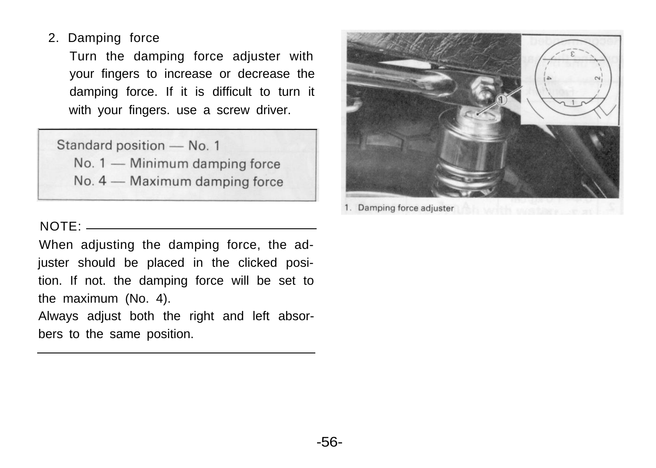# 2. Damping force

Turn the damping force adjuster with your fingers to increase or decrease the damping force. If it is difficult to turn it with your fingers. use a screw driver.

Standard position - No. 1

No. 1 - Minimum damping force

No. 4 – Maximum damping force



. Damping force adjuster

# NOTE:

When adjusting the damping force, the adjuster should be placed in the clicked position. If not. the damping force will be set to the maximum (No. 4). Always adjust both the right and left absor-

bers to the same position.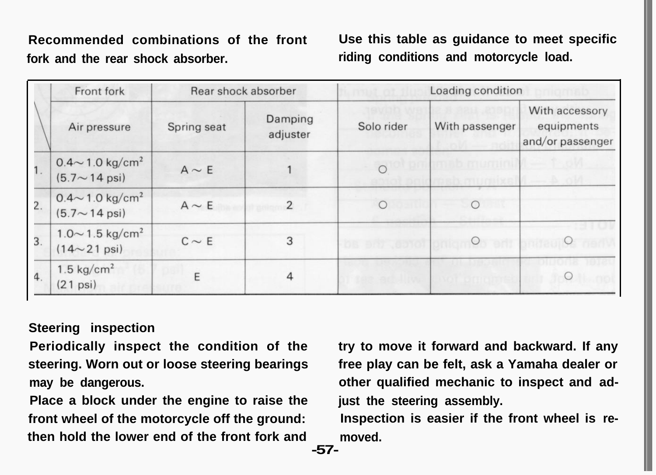**Recommended combinations of the front Use this table as guidance to meet specific fork and the rear shock absorber. riding conditions and motorcycle load.**

|                | Front fork                                                   | Rear shock absorber |                     | Loading condition |                |                                                  |
|----------------|--------------------------------------------------------------|---------------------|---------------------|-------------------|----------------|--------------------------------------------------|
|                | Air pressure                                                 | Spring seat         | Damping<br>adjuster | Solo rider        | With passenger | With accessory<br>equipments<br>and/or passenger |
|                | $0.4 \sim 1.0 \text{ kg/cm}^2$<br>(5.7 $\sim$ 14 psi)        | $A \sim E$          |                     |                   |                |                                                  |
| 2.             | $0.4 \sim 1.0 \text{ kg/cm}^2$<br>(5.7 $\sim$ 14 psi)        | $A \sim E$          | $\overline{2}$      |                   | $\cup$         |                                                  |
| 3.             | $1.0 \sim 1.5 \text{ kg/cm}^2$<br>$(14 \sim 21 \text{ psi})$ | $C \sim E$          | 3                   | OB DRY CONOT      |                |                                                  |
| $\overline{4}$ | $1.5 \text{ kg/cm}^2$<br>$(21$ psi)                          |                     | 4                   |                   |                |                                                  |

## **Steering inspection**

**steering. Worn out or loose steering bearings free play can be felt, ask a Yamaha dealer or may be dangerous. other qualified mechanic to inspect and ad-**

**Place a block under the engine to raise the just the steering assembly. then hold the lower end of the front fork and moved.**

**Periodically inspect the condition of the try to move it forward and backward. If any**

**front wheel of the motorcycle off the ground: Inspection is easier if the front wheel is re-**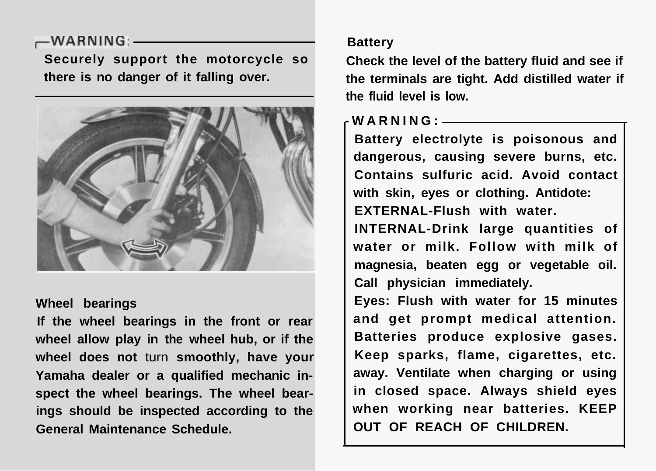## $-WARNING: -$

**Securely support the motorcycle so there is no danger of it falling over.**



#### **Wheel bearings**

**If the wheel bearings in the front or rear wheel allow play in the wheel hub, or if the wheel does not** turn **smoothly, have your Yamaha dealer or a qualified mechanic inspect the wheel bearings. The wheel bearings should be inspected according to the General Maintenance Schedule.**

#### **Battery**

**Check the level of the battery fluid and see if the terminals are tight. Add distilled water if the fluid level is low.**

# **-WARNING:**

**Battery electrolyte is poisonous and dangerous, causing severe burns, etc. Contains sulfuric acid. Avoid contact with skin, eyes or clothing. Antidote: EXTERNAL-Flush with water.**

**INTERNAL-Drink large quantities of water or milk. Follow with milk of magnesia, beaten egg or vegetable oil. Call physician immediately.**

**Eyes: Flush with water for 15 minutes and get prompt medical attention. Batteries produce explosive gases. Keep sparks, flame, cigarettes, etc. away. Ventilate when charging or using in closed space. Always shield eyes when working near batteries. KEEP OUT OF REACH OF CHILDREN.**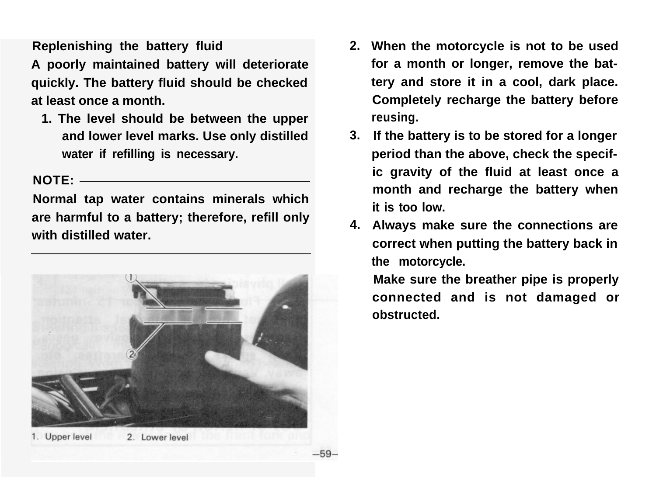**Replenishing the battery fluid**

**A poorly maintained battery will deteriorate quickly. The battery fluid should be checked at least once a month.**

**1. The level should be between the upper and lower level marks. Use only distilled water if refilling is necessary.**

### **NOTE:**

**Normal tap water contains minerals which are harmful to a battery; therefore, refill only with distilled water.**



1. Upper level 2. Lower level

- **2. When the motorcycle is not to be used for a month or longer, remove the battery and store it in a cool, dark place. Completely recharge the battery before reusing.**
- **3. If the battery is to be stored for a longer period than the above, check the specific gravity of the fluid at least once a month and recharge the battery when it is too low.**
- **4. Always make sure the connections are correct when putting the battery back in the motorcycle.**

**Make sure the breather pipe is properly connected and is not damaged or obstructed.**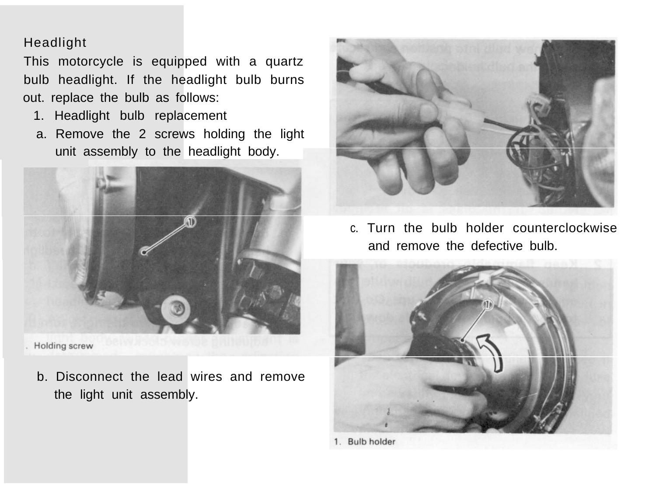# Headlight

This motorcycle is equipped with a quartz bulb headlight. If the headlight bulb burns out. replace the bulb as follows:

- 1. Headlight bulb replacement
- a. Remove the 2 screws holding the light unit assembly to the headlight body.



Holding screw

b. Disconnect the lead wires and remove the light unit assembly.



c. Turn the bulb holder counterclockwise and remove the defective bulb.



1. Bulb holder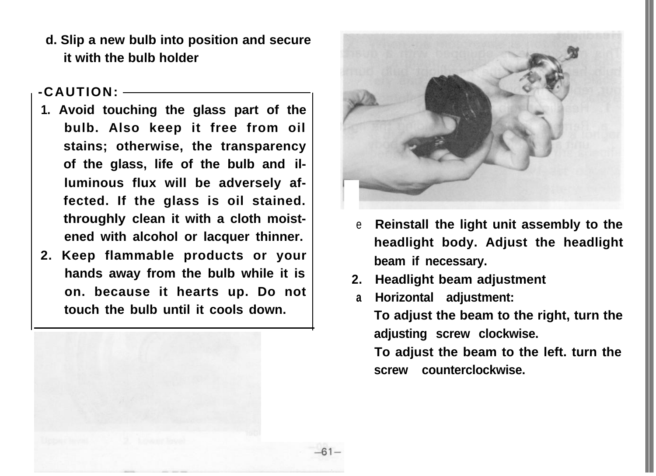**d. Slip a new bulb into position and secure it with the bulb holder**

# **-CAUTION:**

- **1. Avoid touching the glass part of the bulb. Also keep it free from oil stains; otherwise, the transparency of the glass, life of the bulb and illuminous flux will be adversely affected. If the glass is oil stained. throughly clean it with a cloth moistened with alcohol or lacquer thinner.**
- **2. Keep flammable products or your hands away from the bulb while it is on. because it hearts up. Do not touch the bulb until it cools down.**



- e **Reinstall the light unit assembly to the headlight body. Adjust the headlight beam if necessary.**
- **2. Headlight beam adjustment**
- **a Horizontal adjustment:**

**To adjust the beam to the right, turn the adjusting screw clockwise.**

**To adjust the beam to the left. turn the screw counterclockwise.**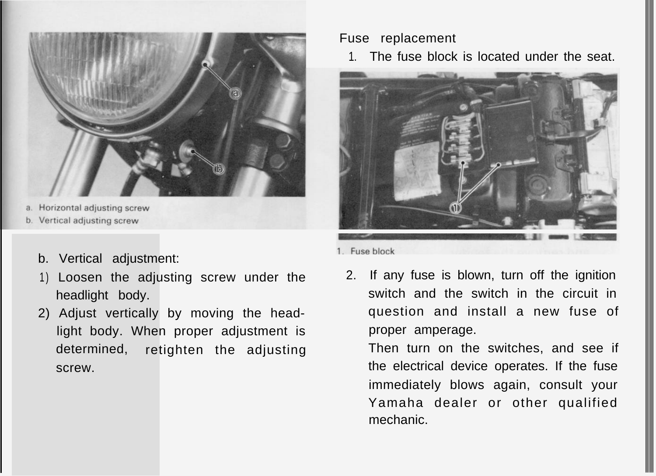

- a. Horizontal adjusting screw
- b. Vertical adjusting screw
	- b. Vertical adjustment:
	- 1) Loosen the adjusting screw under the headlight body.
	- 2) Adjust vertically by moving the headlight body. When proper adjustment is determined, retighten the adjusting screw.

### Fuse replacement

The fuse block is located under the seat.



1. Fuse block

2. If any fuse is blown, turn off the ignition switch and the switch in the circuit in question and install a new fuse of proper amperage.

Then turn on the switches, and see if the electrical device operates. If the fuse immediately blows again, consult your Yamaha dealer or other qualified mechanic.